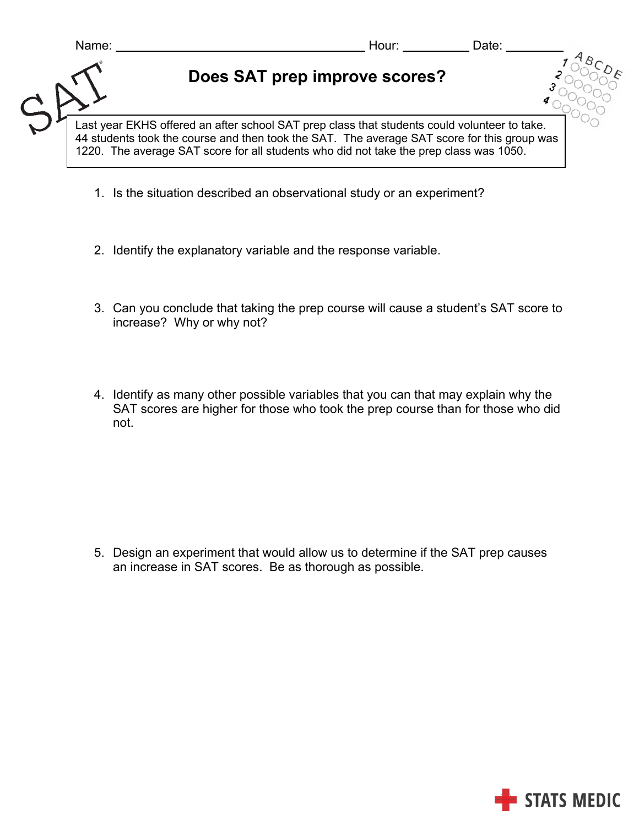| Name:                                                                                                                                                                                                                                                                                 | Hour:                         | Date: |  |  |
|---------------------------------------------------------------------------------------------------------------------------------------------------------------------------------------------------------------------------------------------------------------------------------------|-------------------------------|-------|--|--|
|                                                                                                                                                                                                                                                                                       | Does SAT prep improve scores? |       |  |  |
| Last year EKHS offered an after school SAT prep class that students could volunteer to take.<br>44 students took the course and then took the SAT. The average SAT score for this group was<br>1220. The average SAT score for all students who did not take the prep class was 1050. |                               |       |  |  |

- 1. Is the situation described an observational study or an experiment?
- 2. Identify the explanatory variable and the response variable.
- 3. Can you conclude that taking the prep course will cause a student's SAT score to increase? Why or why not?
- 4. Identify as many other possible variables that you can that may explain why the SAT scores are higher for those who took the prep course than for those who did not.

5. Design an experiment that would allow us to determine if the SAT prep causes an increase in SAT scores. Be as thorough as possible.